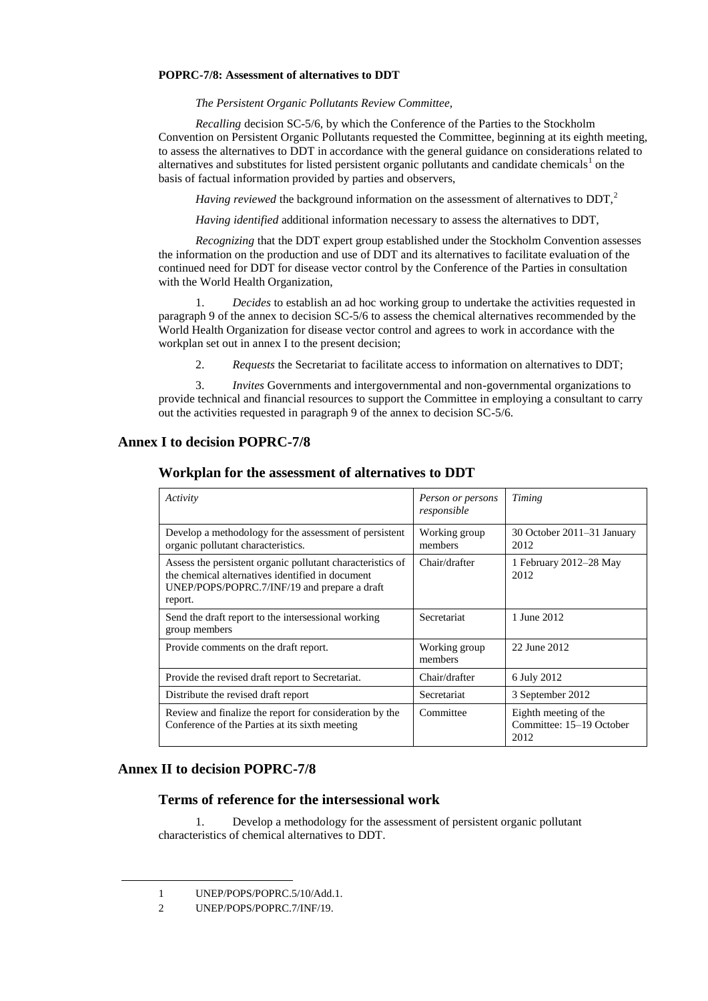## **POPRC-7/8: Assessment of alternatives to DDT**

*The Persistent Organic Pollutants Review Committee,*

*Recalling* decision SC-5/6, by which the Conference of the Parties to the Stockholm Convention on Persistent Organic Pollutants requested the Committee, beginning at its eighth meeting, to assess the alternatives to DDT in accordance with the general guidance on considerations related to alternatives and substitutes for listed persistent organic pollutants and candidate chemicals<sup>1</sup> on the basis of factual information provided by parties and observers,

*Having reviewed* the background information on the assessment of alternatives to DDT,<sup>2</sup>

*Having identified* additional information necessary to assess the alternatives to DDT,

*Recognizing* that the DDT expert group established under the Stockholm Convention assesses the information on the production and use of DDT and its alternatives to facilitate evaluation of the continued need for DDT for disease vector control by the Conference of the Parties in consultation with the World Health Organization,

1. *Decides* to establish an ad hoc working group to undertake the activities requested in paragraph 9 of the annex to decision SC-5/6 to assess the chemical alternatives recommended by the World Health Organization for disease vector control and agrees to work in accordance with the workplan set out in annex I to the present decision;

2. *Requests* the Secretariat to facilitate access to information on alternatives to DDT;

3. *Invites* Governments and intergovernmental and non-governmental organizations to provide technical and financial resources to support the Committee in employing a consultant to carry out the activities requested in paragraph 9 of the annex to decision SC-5/6.

## **Annex I to decision POPRC-7/8**

| Workplan for the assessment of alternatives to DDT |  |
|----------------------------------------------------|--|
|                                                    |  |

| Activity                                                                                                                                                                  | Person or persons<br>responsible | Timing                                                    |
|---------------------------------------------------------------------------------------------------------------------------------------------------------------------------|----------------------------------|-----------------------------------------------------------|
| Develop a methodology for the assessment of persistent<br>organic pollutant characteristics.                                                                              | Working group<br>members         | 30 October 2011–31 January<br>2012                        |
| Assess the persistent organic pollutant characteristics of<br>the chemical alternatives identified in document<br>UNEP/POPS/POPRC.7/INF/19 and prepare a draft<br>report. | Chair/drafter                    | 1 February 2012–28 May<br>2012                            |
| Send the draft report to the intersessional working<br>group members                                                                                                      | Secretariat                      | 1 June 2012                                               |
| Provide comments on the draft report.                                                                                                                                     | Working group<br>members         | 22 June 2012                                              |
| Provide the revised draft report to Secretariat.                                                                                                                          | Chair/drafter                    | 6 July 2012                                               |
| Distribute the revised draft report                                                                                                                                       | <b>Secretariat</b>               | 3 September 2012                                          |
| Review and finalize the report for consideration by the<br>Conference of the Parties at its sixth meeting                                                                 | Committee                        | Eighth meeting of the<br>Committee: 15–19 October<br>2012 |

## **Annex II to decision POPRC-7/8**

 $\overline{a}$ 

## **Terms of reference for the intersessional work**

1. Develop a methodology for the assessment of persistent organic pollutant characteristics of chemical alternatives to DDT.

<sup>1</sup> UNEP/POPS/POPRC.5/10/Add.1.

<sup>2</sup> UNEP/POPS/POPRC.7/INF/19.